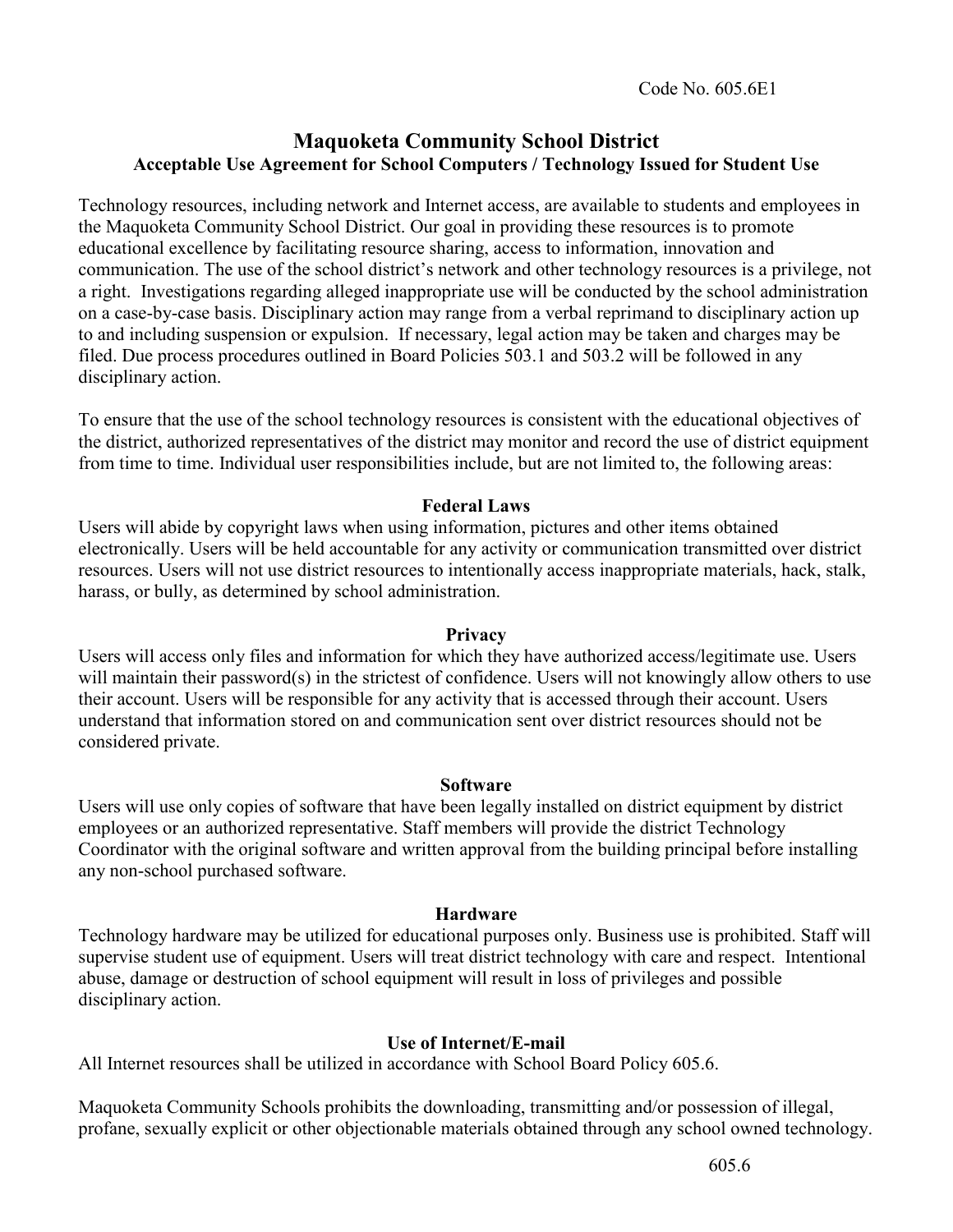Code No. 605.6E1

## **Maquoketa Community School District Acceptable Use Agreement for School Computers / Technology Issued for Student Use**

Technology resources, including network and Internet access, are available to students and employees in the Maquoketa Community School District. Our goal in providing these resources is to promote educational excellence by facilitating resource sharing, access to information, innovation and communication. The use of the school district's network and other technology resources is a privilege, not a right. Investigations regarding alleged inappropriate use will be conducted by the school administration on a case-by-case basis. Disciplinary action may range from a verbal reprimand to disciplinary action up to and including suspension or expulsion. If necessary, legal action may be taken and charges may be filed. Due process procedures outlined in Board Policies 503.1 and 503.2 will be followed in any disciplinary action.

To ensure that the use of the school technology resources is consistent with the educational objectives of the district, authorized representatives of the district may monitor and record the use of district equipment from time to time. Individual user responsibilities include, but are not limited to, the following areas:

## **Federal Laws**

Users will abide by copyright laws when using information, pictures and other items obtained electronically. Users will be held accountable for any activity or communication transmitted over district resources. Users will not use district resources to intentionally access inappropriate materials, hack, stalk, harass, or bully, as determined by school administration.

## **Privacy**

Users will access only files and information for which they have authorized access/legitimate use. Users will maintain their password(s) in the strictest of confidence. Users will not knowingly allow others to use their account. Users will be responsible for any activity that is accessed through their account. Users understand that information stored on and communication sent over district resources should not be considered private.

#### **Software**

Users will use only copies of software that have been legally installed on district equipment by district employees or an authorized representative. Staff members will provide the district Technology Coordinator with the original software and written approval from the building principal before installing any non-school purchased software.

## **Hardware**

Technology hardware may be utilized for educational purposes only. Business use is prohibited. Staff will supervise student use of equipment. Users will treat district technology with care and respect. Intentional abuse, damage or destruction of school equipment will result in loss of privileges and possible disciplinary action.

## **Use of Internet/E-mail**

All Internet resources shall be utilized in accordance with School Board Policy 605.6.

Maquoketa Community Schools prohibits the downloading, transmitting and/or possession of illegal, profane, sexually explicit or other objectionable materials obtained through any school owned technology.